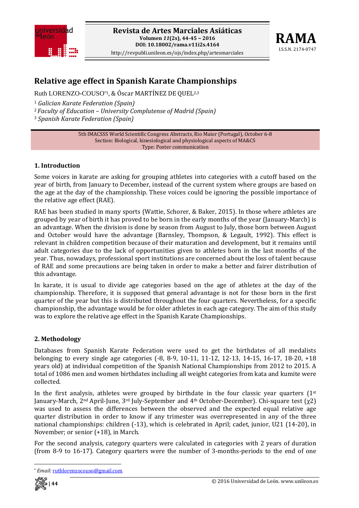



# **Relative age effect in Spanish Karate Championships**

Ruth LORENZO-COUSO\*1, & Óscar MARTÍNEZ DE QUEL2,3

<sup>1</sup> *Galician Karate Federation (Spain)*

<sup>2</sup>*Faculty of Education – University Complutense of Madrid (Spain)*

<sup>3</sup> *Spanish Karate Federation (Spain)*

5th IMACSSS World Scientific Congress Abstracts, Rio Maior (Portugal), October 6‐8 Section: Biological, kinesiological and physiological aspects of MA&CS Type: Poster communication

## **1. Introduction**

Some voices in karate are asking for grouping athletes into categories with a cutoff based on the year of birth, from January to December, instead of the current system where groups are based on the age at the day of the championship. These voices could be ignoring the possible importance of the relative age effect (RAE).

RAE has been studied in many sports (Wattie, Schorer, & Baker, 2015). In those where athletes are grouped by year of birth it has proved to be born in the early months of the year (January‐March) is an advantage. When the division is done by season from August to July, those born between August and October would have the advantage (Barnsley, Thompson, & Legault, 1992). This effect is relevant in children competition because of their maturation and development, but it remains until adult categories due to the lack of opportunities given to athletes born in the last months of the year. Thus, nowadays, professional sport institutions are concerned about the loss of talent because of RAE and some precautions are being taken in order to make a better and fairer distribution of this advantage.

In karate, it is usual to divide age categories based on the age of athletes at the day of the championship. Therefore, it is supposed that general advantage is not for those born in the first quarter of the year but this is distributed throughout the four quarters. Nevertheless, for a specific championship, the advantage would be for older athletes in each age category. The aim of this study was to explore the relative age effect in the Spanish Karate Championships.

## **2. Methodology**

Databases from Spanish Karate Federation were used to get the birthdates of all medalists belonging to every single age categories (‐8, 8‐9, 10‐11, 11‐12, 12‐13, 14‐15, 16‐17, 18‐20, +18 years old) at individual competition of the Spanish National Championships from 2012 to 2015. A total of 1086 men and women birthdates including all weight categories from kata and kumite were collected.

In the first analysis, athletes were grouped by birthdate in the four classic year quarters  $(1^{st}$ January‐March, 2nd April‐June, 3rd July‐September and 4th October‐December). Chi‐square test (χ2) was used to assess the differences between the observed and the expected equal relative age quarter distribution in order to know if any trimester was overrepresented in any of the three national championships: children (‐13), which is celebrated in April; cadet, junior, U21 (14‐20), in November; or senior (+18), in March.

For the second analysis, category quarters were calculated in categories with 2 years of duration (from 8‐9 to 16‐17). Category quarters were the number of 3‐months‐periods to the end of one

 \* *Email:* ruthlorenzocouso@gmail.com